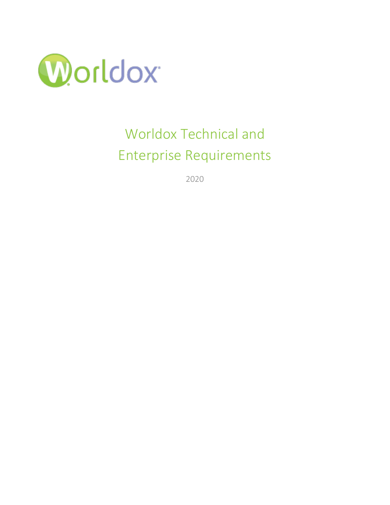

# Worldox Technical and Enterprise Requirements

2020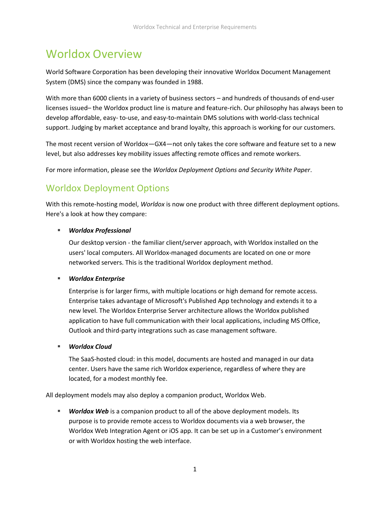# Worldox Overview

World Software Corporation has been developing their innovative Worldox Document Management System (DMS) since the company was founded in 1988.

With more than 6000 clients in a variety of business sectors – and hundreds of thousands of end-user licenses issued– the Worldox product line is mature and feature-rich. Our philosophy has always been to develop affordable, easy- to-use, and easy-to-maintain DMS solutions with world-class technical support. Judging by market acceptance and brand loyalty, this approach is working for our customers.

The most recent version of Worldox—GX4—not only takes the core software and feature set to a new level, but also addresses key mobility issues affecting remote offices and remote workers.

For more information, please see the *Worldox Deployment Options and Security White Paper*.

# Worldox Deployment Options

With this remote-hosting model, *Worldox* is now one product with three different deployment options. Here's a look at how they compare:

#### ▪ *Worldox Professional*

Our desktop version - the familiar client/server approach, with Worldox installed on the users' local computers. All Worldox-managed documents are located on one or more networked servers. This is the traditional Worldox deployment method.

#### ▪ *Worldox Enterprise*

Enterprise is for larger firms, with multiple locations or high demand for remote access. Enterprise takes advantage of Microsoft's Published App technology and extends it to a new level. The Worldox Enterprise Server architecture allows the Worldox published application to have full communication with their local applications, including MS Office, Outlook and third-party integrations such as case management software.

#### ▪ *Worldox Cloud*

The SaaS-hosted cloud: in this model, documents are hosted and managed in our data center. Users have the same rich Worldox experience, regardless of where they are located, for a modest monthly fee.

All deployment models may also deploy a companion product, Worldox Web.

**EXECT** *Worldox Web* is a companion product to all of the above deployment models. Its purpose is to provide remote access to Worldox documents via a web browser, the Worldox Web Integration Agent or iOS app. It can be set up in a Customer's environment or with Worldox hosting the web interface.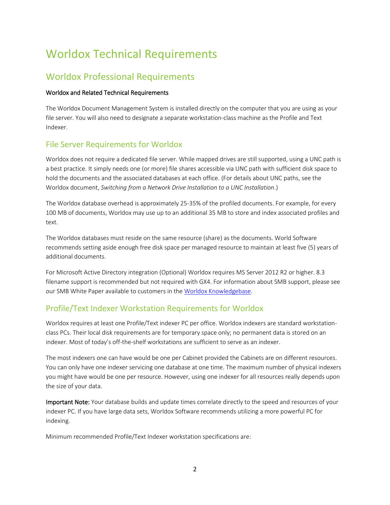# Worldox Technical Requirements

## Worldox Professional Requirements

#### Worldox and Related Technical Requirements

The Worldox Document Management System is installed directly on the computer that you are using as your file server. You will also need to designate a separate workstation-class machine as the Profile and Text Indexer.

## File Server Requirements for Worldox

Worldox does not require a dedicated file server. While mapped drives are still supported, using a UNC path is a best practice. It simply needs one (or more) file shares accessible via UNC path with sufficient disk space to hold the documents and the associated databases at each office. (For details about UNC paths, see the Worldox document, *Switching from a Network Drive Installation to a UNC Installation*.)

The Worldox database overhead is approximately 25-35% of the profiled documents. For example, for every 100 MB of documents, Worldox may use up to an additional 35 MB to store and index associated profiles and text.

The Worldox databases must reside on the same resource (share) as the documents. World Software recommends setting aside enough free disk space per managed resource to maintain at least five (5) years of additional documents.

For Microsoft Active Directory integration (Optional) Worldox requires MS Server 2012 R2 or higher. 8.3 filename support is recommended but not required with GX4. For information about SMB support, please see our SMB White Paper available to customers in the [Worldox Knowledgebase.](https://knowledgebase.worldox.com/wp-login.php)

## Profile/Text Indexer Workstation Requirements for Worldox

Worldox requires at least one Profile/Text indexer PC per office. Worldox indexers are standard workstationclass PCs. Their local disk requirements are for temporary space only; no permanent data is stored on an indexer. Most of today's off-the-shelf workstations are sufficient to serve as an indexer.

The most indexers one can have would be one per Cabinet provided the Cabinets are on different resources. You can only have one indexer servicing one database at one time. The maximum number of physical indexers you might have would be one per resource. However, using one indexer for all resources really depends upon the size of your data.

Important Note: Your database builds and update times correlate directly to the speed and resources of your indexer PC. If you have large data sets, Worldox Software recommends utilizing a more powerful PC for indexing.

Minimum recommended Profile/Text Indexer workstation specifications are: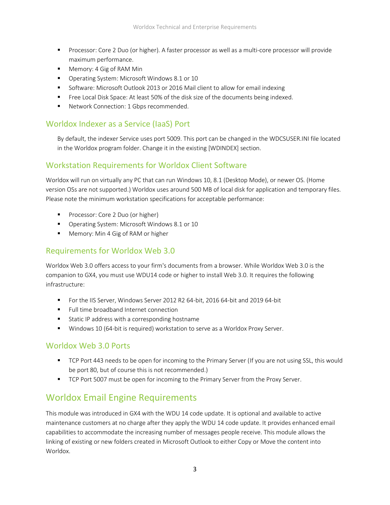- Processor: Core 2 Duo (or higher). A faster processor as well as a multi-core processor will provide maximum performance.
- Memory: 4 Gig of RAM Min
- Operating System: Microsoft Windows 8.1 or 10
- Software: Microsoft Outlook 2013 or 2016 Mail client to allow for email indexing
- Free Local Disk Space: At least 50% of the disk size of the documents being indexed.
- Network Connection: 1 Gbps recommended.

## Worldox Indexer as a Service (IaaS) Port

By default, the indexer Service uses port 5009. This port can be changed in the WDCSUSER.INI file located in the Worldox program folder. Change it in the existing [WDINDEX] section.

## Workstation Requirements for Worldox Client Software

Worldox will run on virtually any PC that can run Windows 10, 8.1 (Desktop Mode), or newer OS. (Home version OSs are not supported.) Worldox uses around 500 MB of local disk for application and temporary files. Please note the minimum workstation specifications for acceptable performance:

- Processor: Core 2 Duo (or higher)
- Operating System: Microsoft Windows 8.1 or 10
- Memory: Min 4 Gig of RAM or higher

### Requirements for Worldox Web 3.0

Worldox Web 3.0 offers access to your firm's documents from a browser. While Worldox Web 3.0 is the companion to GX4, you must use WDU14 code or higher to install Web 3.0. It requires the following infrastructure:

- For the IIS Server, Windows Server 2012 R2 64-bit, 2016 64-bit and 2019 64-bit
- Full time broadband Internet connection
- Static IP address with a corresponding hostname
- Windows 10 (64-bit is required) workstation to serve as a Worldox Proxy Server.

#### Worldox Web 3.0 Ports

- TCP Port 443 needs to be open for incoming to the Primary Server (If you are not using SSL, this would be port 80, but of course this is not recommended.)
- **TCP Port 5007 must be open for incoming to the Primary Server from the Proxy Server.**

## Worldox Email Engine Requirements

This module was introduced in GX4 with the WDU 14 code update. It is optional and available to active maintenance customers at no charge after they apply the WDU 14 code update. It provides enhanced email capabilities to accommodate the increasing number of messages people receive. This module allows the linking of existing or new folders created in Microsoft Outlook to either Copy or Move the content into Worldox.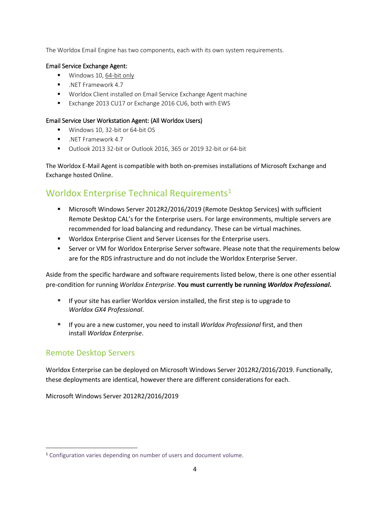The Worldox Email Engine has two components, each with its own system requirements.

#### Email Service Exchange Agent:

- Windows 10, 64-bit only
- .NET Framework 4.7
- Worldox Client installed on Email Service Exchange Agent machine
- Exchange 2013 CU17 or Exchange 2016 CU6, both with EWS

#### Email Service User Workstation Agent: (All Worldox Users)

- Windows 10, 32-bit or 64-bit OS
- .NET Framework 4.7
- Outlook 2013 32-bit or Outlook 2016, 365 or 2019 32-bit or 64-bit

The Worldox E-Mail Agent is compatible with both on-premises installations of Microsoft Exchange and Exchange hosted Online.

## Worldox Enterprise Technical Requirements<sup>1</sup>

- Microsoft Windows Server 2012R2/2016/2019 (Remote Desktop Services) with sufficient Remote Desktop CAL's for the Enterprise users. For large environments, multiple servers are recommended for load balancing and redundancy. These can be virtual machines.
- Worldox Enterprise Client and Server Licenses for the Enterprise users.
- **EXECT:** Server or VM for Worldox Enterprise Server software. Please note that the requirements below are for the RDS infrastructure and do not include the Worldox Enterprise Server.

Aside from the specific hardware and software requirements listed below, there is one other essential pre-condition for running *Worldox Enterprise*. **You must currently be running** *Worldox Professional***.**

- If your site has earlier Worldox version installed, the first step is to upgrade to *Worldox GX4 Professional*.
- If you are a new customer, you need to install *Worldox Professional* first, and then install *Worldox Enterprise*.

## Remote Desktop Servers

Worldox Enterprise can be deployed on Microsoft Windows Server 2012R2/2016/2019. Functionally, these deployments are identical, however there are different considerations for each.

Microsoft Windows Server 2012R2/2016/2019

<sup>1</sup> Configuration varies depending on number of users and document volume.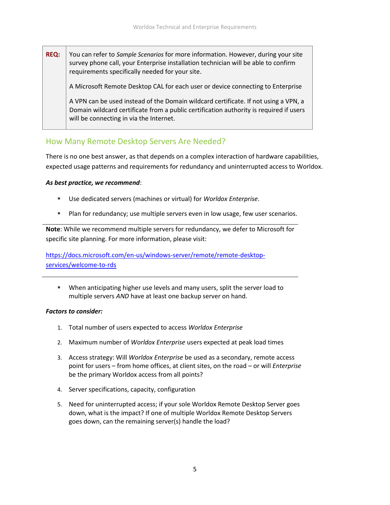**REQ:** You can refer to *[Sample Scenarios](#page-6-0)* for more information. However, during your site survey phone call, your Enterprise installation technician will be able to confirm requirements specifically needed for your site.

A Microsoft Remote Desktop CAL for each user or device connecting to Enterprise

A VPN can be used instead of the Domain wildcard certificate. If not using a VPN, a Domain wildcard certificate from a public certification authority is required if users will be connecting in via the Internet.

## How Many Remote Desktop Servers Are Needed?

There is no one best answer, as that depends on a complex interaction of hardware capabilities, expected usage patterns and requirements for redundancy and uninterrupted access to Worldox.

#### *As best practice, we recommend*:

- Use dedicated servers (machines or virtual) for *Worldox Enterprise*.
- Plan for redundancy; use multiple servers even in low usage, few user scenarios.

**Note**: While we recommend multiple servers for redundancy, we defer to Microsoft for specific site planning. For more information, please visit:

[https://docs.microsoft.com/en-us/windows-server/remote/remote-desktop](https://docs.microsoft.com/en-us/windows-server/remote/remote-desktop-services/welcome-to-rds)[services/welcome-to-rds](https://docs.microsoft.com/en-us/windows-server/remote/remote-desktop-services/welcome-to-rds)

▪ When anticipating higher use levels and many users, split the server load to multiple servers *AND* have at least one backup server on hand.

#### *Factors to consider:*

- 1. Total number of users expected to access *Worldox Enterprise*
- 2. Maximum number of *Worldox Enterprise* users expected at peak load times
- 3. Access strategy: Will *Worldox Enterprise* be used as a secondary, remote access point for users – from home offices, at client sites, on the road – or will *Enterprise* be the primary Worldox access from all points?
- 4. Server specifications, capacity, configuration
- 5. Need for uninterrupted access; if your sole Worldox Remote Desktop Server goes down, what is the impact? If one of multiple Worldox Remote Desktop Servers goes down, can the remaining server(s) handle the load?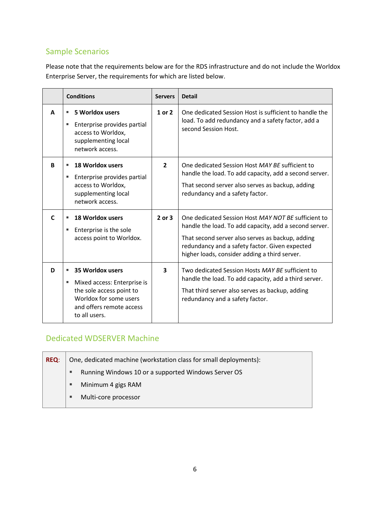# <span id="page-6-0"></span>Sample Scenarios

Please note that the requirements below are for the RDS infrastructure and do not include the Worldox Enterprise Server, the requirements for which are listed below.

|   | <b>Conditions</b>                                                                                                                                            | <b>Servers</b> | <b>Detail</b>                                                                                                                                                                                                                                                        |  |
|---|--------------------------------------------------------------------------------------------------------------------------------------------------------------|----------------|----------------------------------------------------------------------------------------------------------------------------------------------------------------------------------------------------------------------------------------------------------------------|--|
| A | 5 Worldox users<br>٠<br>Enterprise provides partial<br>٠<br>access to Worldox,<br>supplementing local<br>network access.                                     | 1 or 2         | One dedicated Session Host is sufficient to handle the<br>load. To add redundancy and a safety factor, add a<br>second Session Host.                                                                                                                                 |  |
| R | <b>18 Worldox users</b><br>٠<br>Enterprise provides partial<br>ш<br>access to Worldox,<br>supplementing local<br>network access.                             | $\mathbf{z}$   | One dedicated Session Host MAY BE sufficient to<br>handle the load. To add capacity, add a second server.<br>That second server also serves as backup, adding<br>redundancy and a safety factor.                                                                     |  |
| C | <b>18 Worldox users</b><br>٠<br>Enterprise is the sole<br>п<br>access point to Worldox.                                                                      | $2$ or $3$     | One dedicated Session Host MAY NOT BE sufficient to<br>handle the load. To add capacity, add a second server.<br>That second server also serves as backup, adding<br>redundancy and a safety factor. Given expected<br>higher loads, consider adding a third server. |  |
| D | 35 Worldox users<br>٠<br>Mixed access: Enterprise is<br>п<br>the sole access point to<br>Worldox for some users<br>and offers remote access<br>to all users. | 3              | Two dedicated Session Hosts MAY BE sufficient to<br>handle the load. To add capacity, add a third server.<br>That third server also serves as backup, adding<br>redundancy and a safety factor.                                                                      |  |

## Dedicated WDSERVER Machine

| <b>REQ:</b> | One, dedicated machine (workstation class for small deployments): |                                                     |  |
|-------------|-------------------------------------------------------------------|-----------------------------------------------------|--|
|             | Е                                                                 | Running Windows 10 or a supported Windows Server OS |  |
|             |                                                                   | Minimum 4 gigs RAM                                  |  |
|             |                                                                   | Multi-core processor                                |  |
|             |                                                                   |                                                     |  |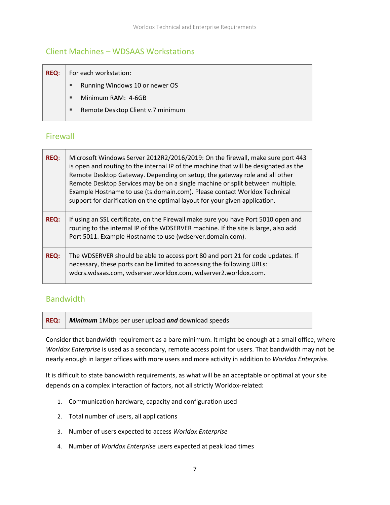## Client Machines – WDSAAS Workstations

| <b>REQ:</b> | For each workstation: |                                   |  |
|-------------|-----------------------|-----------------------------------|--|
|             | л                     | Running Windows 10 or newer OS    |  |
|             | п                     | Minimum RAM: 4-6GB                |  |
|             | л                     | Remote Desktop Client v.7 minimum |  |
|             |                       |                                   |  |

## Firewall

| <b>REQ:</b> | Microsoft Windows Server 2012R2/2016/2019: On the firewall, make sure port 443<br>is open and routing to the internal IP of the machine that will be designated as the<br>Remote Desktop Gateway. Depending on setup, the gateway role and all other<br>Remote Desktop Services may be on a single machine or split between multiple.<br>Example Hostname to use (ts.domain.com). Please contact Worldox Technical<br>support for clarification on the optimal layout for your given application. |
|-------------|---------------------------------------------------------------------------------------------------------------------------------------------------------------------------------------------------------------------------------------------------------------------------------------------------------------------------------------------------------------------------------------------------------------------------------------------------------------------------------------------------|
| <b>REQ:</b> | If using an SSL certificate, on the Firewall make sure you have Port 5010 open and<br>routing to the internal IP of the WDSERVER machine. If the site is large, also add<br>Port 5011. Example Hostname to use (wdserver.domain.com).                                                                                                                                                                                                                                                             |
| <b>REQ:</b> | The WDSERVER should be able to access port 80 and port 21 for code updates. If<br>necessary, these ports can be limited to accessing the following URLs:<br>wdcrs.wdsaas.com, wdserver.worldox.com, wdserver2.worldox.com.                                                                                                                                                                                                                                                                        |

## **Bandwidth**

**REQ:** *Minimum* 1Mbps per user upload *and* download speeds

Consider that bandwidth requirement as a bare minimum. It might be enough at a small office, where *Worldox Enterprise* is used as a secondary, remote access point for users. That bandwidth may not be nearly enough in larger offices with more users and more activity in addition to *Worldox Enterpris*e.

It is difficult to state bandwidth requirements, as what will be an acceptable or optimal at your site depends on a complex interaction of factors, not all strictly Worldox-related:

- 1. Communication hardware, capacity and configuration used
- 2. Total number of users, all applications
- 3. Number of users expected to access *Worldox Enterprise*
- 4. Number of *Worldox Enterprise* users expected at peak load times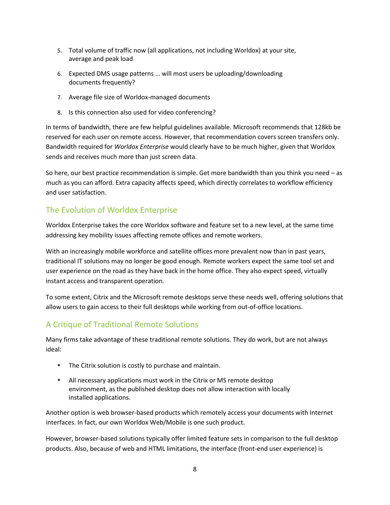- 5. Total volume of traffic now (all applications, not including Worldox) at your site, average and peak load
- 6. Expected DMS usage patterns … will most users be uploading/downloading documents frequently?
- 7. Average file size of Worldox-managed documents
- 8. Is this connection also used for video conferencing?

In terms of bandwidth, there are few helpful guidelines available. Microsoft recommends that 128kb be reserved for each user on remote access. However, that recommendation covers screen transfers only. Bandwidth required for *Worldox Enterprise* would clearly have to be much higher, given that Worldox sends and receives much more than just screen data.

So here, our best practice recommendation is simple. Get more bandwidth than you think you need – as much as you can afford. Extra capacity affects speed, which directly correlates to workflow efficiency and user satisfaction.

## The Evolution of Worldox Enterprise

Worldox Enterprise takes the core Worldox software and feature set to a new level, at the same time addressing key mobility issues affecting remote offices and remote workers.

With an increasingly mobile workforce and satellite offices more prevalent now than in past years, traditional IT solutions may no longer be good enough. Remote workers expect the same tool set and user experience on the road as they have back in the home office. They also expect speed, virtually instant access and transparent operation.

To some extent, Citrix and the Microsoft remote desktops serve these needs well, offering solutions that allow users to gain access to their full desktops while working from out-of-office locations.

## A Critique of Traditional Remote Solutions

Many firms take advantage of these traditional remote solutions. They do work, but are not always ideal:

- The Citrix solution is costly to purchase and maintain.
- **E** All necessary applications must work in the Citrix or MS remote desktop environment, as the published desktop does not allow interaction with locally installed applications.

Another option is web browser-based products which remotely access your documents with Internet interfaces. In fact, our own Worldox Web/Mobile is one such product.

However, browser-based solutions typically offer limited feature sets in comparison to the full desktop products. Also, because of web and HTML limitations, the interface (front-end user experience) is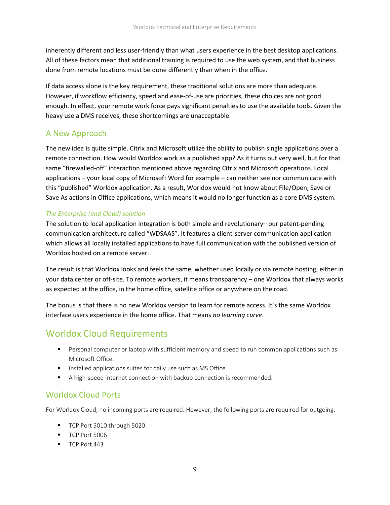inherently different and less user-friendly than what users experience in the best desktop applications. All of these factors mean that additional training is required to use the web system, and that business done from remote locations must be done differently than when in the office.

If data access alone is the key requirement, these traditional solutions are more than adequate. However, if workflow efficiency, speed and ease-of-use are priorities, these choices are not good enough. In effect, your remote work force pays significant penalties to use the available tools. Given the heavy use a DMS receives, these shortcomings are unacceptable.

## A New Approach

The new idea is quite simple. Citrix and Microsoft utilize the ability to publish single applications over a remote connection. How would Worldox work as a published app? As it turns out very well, but for that same "firewalled-off" interaction mentioned above regarding Citrix and Microsoft operations. Local applications – your local copy of Microsoft Word for example – can neither see nor communicate with this "published" Worldox application. As a result, Worldox would not know about File/Open, Save or Save As actions in Office applications, which means it would no longer function as a core DMS system.

#### *The Enterprise (and Cloud) solution*

The solution to local application integration is both simple and revolutionary– our patent-pending communication architecture called "WDSAAS". It features a client-server communication application which allows all locally installed applications to have full communication with the published version of Worldox hosted on a remote server.

The result is that Worldox looks and feels the same, whether used locally or via remote hosting, either in your data center or off-site. To remote workers, it means transparency – one Worldox that always works as expected at the office, in the home office, satellite office or anywhere on the road.

The bonus is that there is no new Worldox version to learn for remote access. It's the same Worldox interface users experience in the home office. That means *no learning curve*.

# Worldox Cloud Requirements

- **■** Personal computer or laptop with sufficient memory and speed to run common applications such as Microsoft Office.
- **■** Installed applications suites for daily use such as MS Office.
- A high-speed internet connection with backup connection is recommended.

## Worldox Cloud Ports

For Worldox Cloud, no incoming ports are required. However, the following ports are required for outgoing:

- TCP Port 5010 through 5020
- TCP Port 5006
- **TCP Port 443**